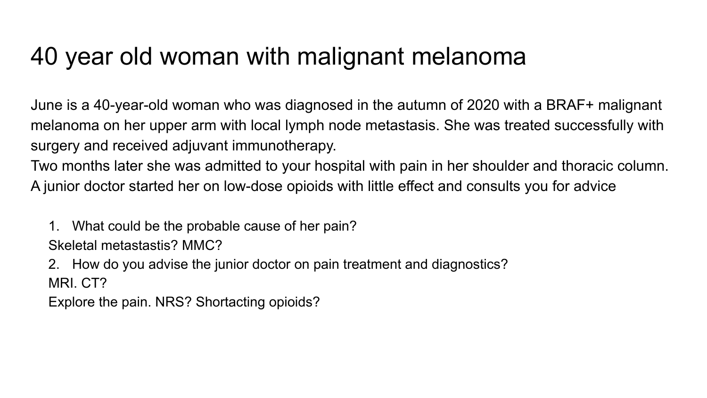## 40 year old woman with malignant melanoma

June is a 40-year-old woman who was diagnosed in the autumn of 2020 with a BRAF+ malignant melanoma on her upper arm with local lymph node metastasis. She was treated successfully with surgery and received adjuvant immunotherapy.

Two months later she was admitted to your hospital with pain in her shoulder and thoracic column. A junior doctor started her on low-dose opioids with little effect and consults you for advice

1. What could be the probable cause of her pain? Skeletal metastastis? MMC?

2. How do you advise the junior doctor on pain treatment and diagnostics? MRI. CT?

Explore the pain. NRS? Shortacting opioids?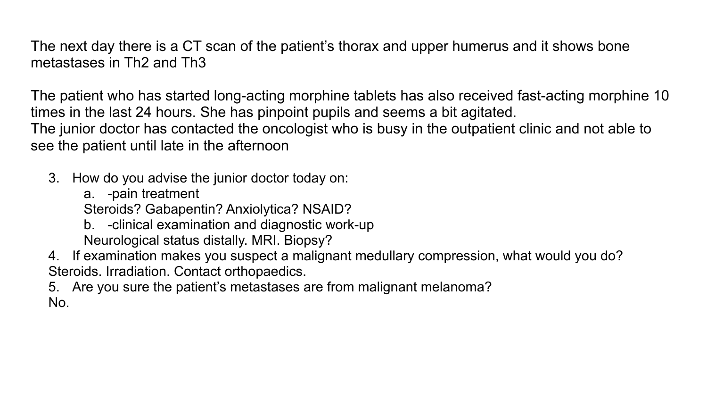The next day there is a CT scan of the patient's thorax and upper humerus and it shows bone metastases in Th2 and Th3

The patient who has started long-acting morphine tablets has also received fast-acting morphine 10 times in the last 24 hours. She has pinpoint pupils and seems a bit agitated. The junior doctor has contacted the oncologist who is busy in the outpatient clinic and not able to see the patient until late in the afternoon

- 3. How do you advise the junior doctor today on:
	- a. -pain treatment

Steroids? Gabapentin? Anxiolytica? NSAID?

b. -clinical examination and diagnostic work-up Neurological status distally. MRI. Biopsy?

4. If examination makes you suspect a malignant medullary compression, what would you do? Steroids. Irradiation. Contact orthopaedics.

5. Are you sure the patient's metastases are from malignant melanoma? No.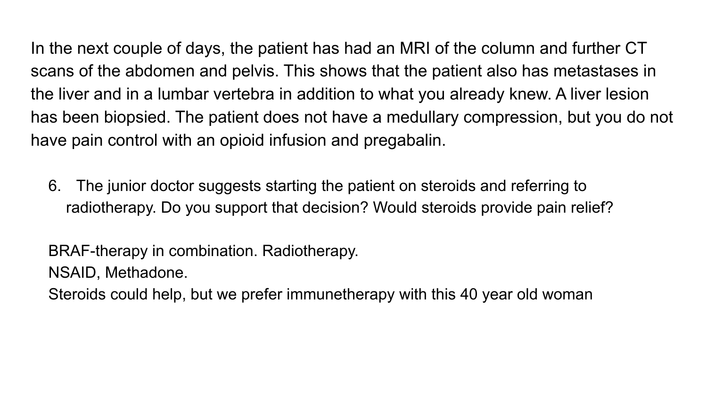In the next couple of days, the patient has had an MRI of the column and further CT scans of the abdomen and pelvis. This shows that the patient also has metastases in the liver and in a lumbar vertebra in addition to what you already knew. A liver lesion has been biopsied. The patient does not have a medullary compression, but you do not have pain control with an opioid infusion and pregabalin.

6. The junior doctor suggests starting the patient on steroids and referring to radiotherapy. Do you support that decision? Would steroids provide pain relief?

BRAF-therapy in combination. Radiotherapy. NSAID, Methadone.

Steroids could help, but we prefer immunetherapy with this 40 year old woman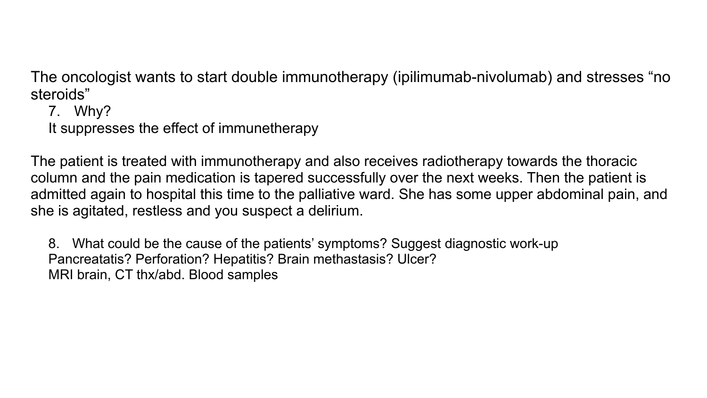The oncologist wants to start double immunotherapy (ipilimumab-nivolumab) and stresses "no steroids"

7. Why?

It suppresses the effect of immunetherapy

The patient is treated with immunotherapy and also receives radiotherapy towards the thoracic column and the pain medication is tapered successfully over the next weeks. Then the patient is admitted again to hospital this time to the palliative ward. She has some upper abdominal pain, and she is agitated, restless and you suspect a delirium.

8. What could be the cause of the patients' symptoms? Suggest diagnostic work-up Pancreatatis? Perforation? Hepatitis? Brain methastasis? Ulcer? MRI brain, CT thx/abd. Blood samples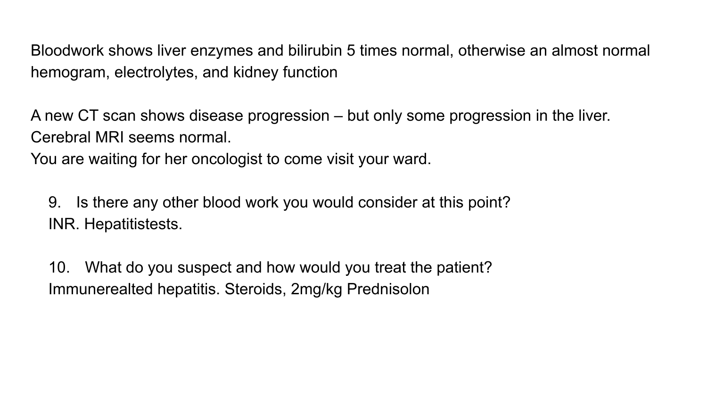Bloodwork shows liver enzymes and bilirubin 5 times normal, otherwise an almost normal hemogram, electrolytes, and kidney function

A new CT scan shows disease progression – but only some progression in the liver. Cerebral MRI seems normal.

You are waiting for her oncologist to come visit your ward.

9. Is there any other blood work you would consider at this point? INR. Hepatitistests.

10. What do you suspect and how would you treat the patient? Immunerealted hepatitis. Steroids, 2mg/kg Prednisolon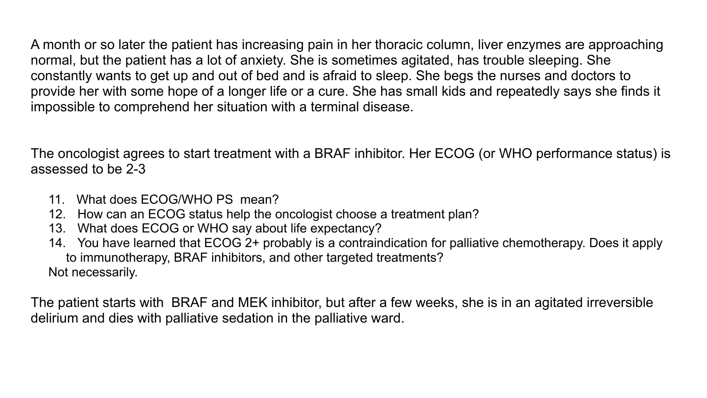A month or so later the patient has increasing pain in her thoracic column, liver enzymes are approaching normal, but the patient has a lot of anxiety. She is sometimes agitated, has trouble sleeping. She constantly wants to get up and out of bed and is afraid to sleep. She begs the nurses and doctors to provide her with some hope of a longer life or a cure. She has small kids and repeatedly says she finds it impossible to comprehend her situation with a terminal disease.

The oncologist agrees to start treatment with a BRAF inhibitor. Her ECOG (or WHO performance status) is assessed to be 2-3

- 11. What does ECOG/WHO PS mean?
- 12. How can an ECOG status help the oncologist choose a treatment plan?
- 13. What does ECOG or WHO say about life expectancy?
- 14. You have learned that ECOG 2+ probably is a contraindication for palliative chemotherapy. Does it apply to immunotherapy, BRAF inhibitors, and other targeted treatments? Not necessarily.

The patient starts with BRAF and MEK inhibitor, but after a few weeks, she is in an agitated irreversible delirium and dies with palliative sedation in the palliative ward.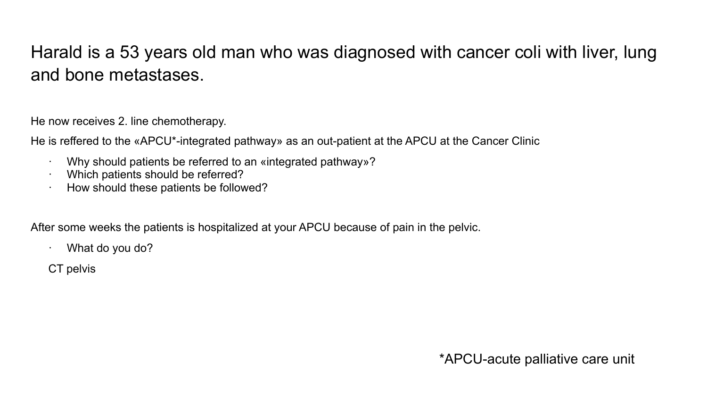## Harald is a 53 years old man who was diagnosed with cancer coli with liver, lung and bone metastases.

He now receives 2. line chemotherapy.

He is reffered to the «APCU\*-integrated pathway» as an out-patient at the APCU at the Cancer Clinic

- · Why should patients be referred to an «integrated pathway»?
- Which patients should be referred?
- · How should these patients be followed?

After some weeks the patients is hospitalized at your APCU because of pain in the pelvic.

- · What do you do?
- CT pelvis

\*APCU-acute palliative care unit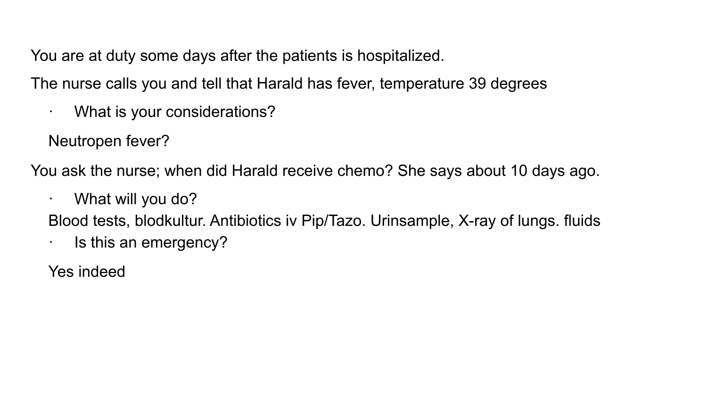You are at duty some days after the patients is hospitalized.

The nurse calls you and tell that Harald has fever, temperature 39 degrees

· What is your considerations?

Neutropen fever?

You ask the nurse; when did Harald receive chemo? She says about 10 days ago.

· What will you do?

Blood tests, blodkultur. Antibiotics iv Pip/Tazo. Urinsample, X-ray of lungs. fluids

· Is this an emergency?

Yes indeed